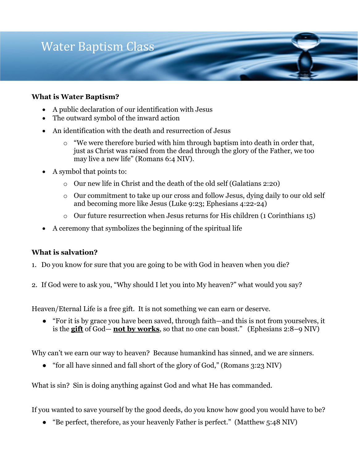

### **What is Water Baptism?**

- A public declaration of our identification with Jesus
- The outward symbol of the inward action
- An identification with the death and resurrection of Jesus
	- o "We were therefore buried with him through baptism into death in order that, just as Christ was raised from the dead through the glory of the Father, we too may live a new life" (Romans 6:4 NIV).
- A symbol that points to:
	- o Our new life in Christ and the death of the old self (Galatians 2:20)
	- o Our commitment to take up our cross and follow Jesus, dying daily to our old self and becoming more like Jesus (Luke 9:23; Ephesians 4:22-24)
	- $\circ$  Our future resurrection when Jesus returns for His children (1 Corinthians 15)
- A ceremony that symbolizes the beginning of the spiritual life

### **What is salvation?**

- 1. Do you know for sure that you are going to be with God in heaven when you die?
- 2. If God were to ask you, "Why should I let you into My heaven?" what would you say?

Heaven/Eternal Life is a free gift. It is not something we can earn or deserve.

● "For it is by grace you have been saved, through faith—and this is not from yourselves, it is the **gift** of God— **not by works**, so that no one can boast." (Ephesians 2:8–9 NIV)

Why can't we earn our way to heaven? Because humankind has sinned, and we are sinners.

● "for all have sinned and fall short of the glory of God," (Romans 3:23 NIV)

What is sin? Sin is doing anything against God and what He has commanded.

If you wanted to save yourself by the good deeds, do you know how good you would have to be?

● "Be perfect, therefore, as your heavenly Father is perfect." (Matthew 5:48 NIV)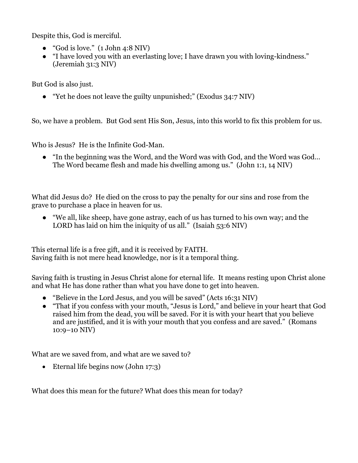Despite this, God is merciful.

- $\bullet$  "God is love." (1 John 4:8 NIV)
- "I have loved you with an everlasting love; I have drawn you with loving-kindness." (Jeremiah 31:3 NIV)

But God is also just.

• "Yet he does not leave the guilty unpunished;" (Exodus 34:7 NIV)

So, we have a problem. But God sent His Son, Jesus, into this world to fix this problem for us.

Who is Jesus? He is the Infinite God-Man.

● "In the beginning was the Word, and the Word was with God, and the Word was God… The Word became flesh and made his dwelling among us." (John 1:1, 14 NIV)

What did Jesus do? He died on the cross to pay the penalty for our sins and rose from the grave to purchase a place in heaven for us.

● "We all, like sheep, have gone astray, each of us has turned to his own way; and the LORD has laid on him the iniquity of us all." (Isaiah 53:6 NIV)

This eternal life is a free gift, and it is received by FAITH. Saving faith is not mere head knowledge, nor is it a temporal thing.

Saving faith is trusting in Jesus Christ alone for eternal life. It means resting upon Christ alone and what He has done rather than what you have done to get into heaven.

- "Believe in the Lord Jesus, and you will be saved" (Acts 16:31 NIV)
- "That if you confess with your mouth, "Jesus is Lord," and believe in your heart that God raised him from the dead, you will be saved. For it is with your heart that you believe and are justified, and it is with your mouth that you confess and are saved." (Romans 10:9–10 NIV)

What are we saved from, and what are we saved to?

• Eternal life begins now (John 17:3)

What does this mean for the future? What does this mean for today?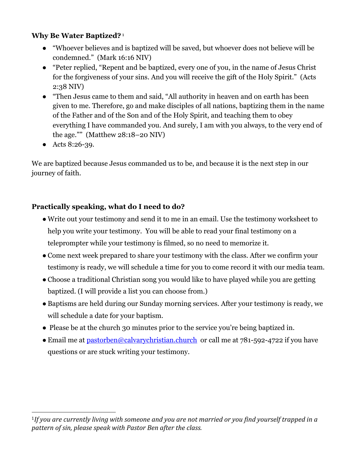## **Why Be Water Baptized?**<sup>1</sup>

- "Whoever believes and is baptized will be saved, but whoever does not believe will be condemned." (Mark 16:16 NIV)
- "Peter replied, "Repent and be baptized, every one of you, in the name of Jesus Christ for the forgiveness of your sins. And you will receive the gift of the Holy Spirit." (Acts 2:38 NIV)
- "Then Jesus came to them and said, "All authority in heaven and on earth has been given to me. Therefore, go and make disciples of all nations, baptizing them in the name of the Father and of the Son and of the Holy Spirit, and teaching them to obey everything I have commanded you. And surely, I am with you always, to the very end of the age."" (Matthew 28:18–20 NIV)
- Acts 8:26-39.

We are baptized because Jesus commanded us to be, and because it is the next step in our journey of faith.

# **Practically speaking, what do I need to do?**

- Write out your testimony and send it to me in an email. Use the testimony worksheet to help you write your testimony. You will be able to read your final testimony on a teleprompter while your testimony is filmed, so no need to memorize it.
- Come next week prepared to share your testimony with the class. After we confirm your testimony is ready, we will schedule a time for you to come record it with our media team.
- Choose a traditional Christian song you would like to have played while you are getting baptized. (I will provide a list you can choose from.)
- Baptisms are held during our Sunday morning services. After your testimony is ready, we will schedule a date for your baptism.
- Please be at the church 30 minutes prior to the service you're being baptized in.
- Email me at pastorben@calvarychristian.church or call me at 781-592-4722 if you have questions or are stuck writing your testimony.

<sup>&</sup>lt;sup>1</sup>If you are currently living with someone and you are not married or you find yourself trapped in a pattern of sin, please speak with Pastor Ben after the class.